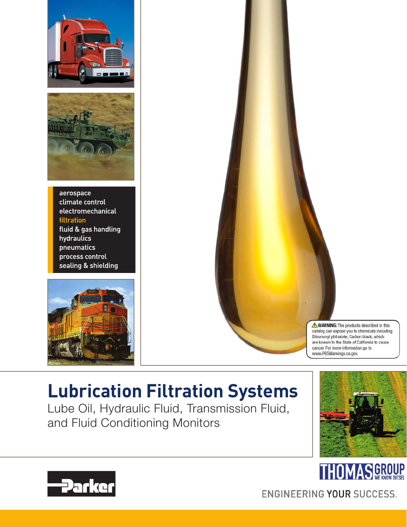



aerospace climate control electromechanical filtration fluid & gas handling hydraulics pneumatics process control sealing & shielding





## **Lubrication Filtration Systems**

Lube Oil, Hydraulic Fluid, Transmission Fluid, and Fluid Conditioning Monitors





**Parker** 

ENGINEERING YOUR SUCCESS.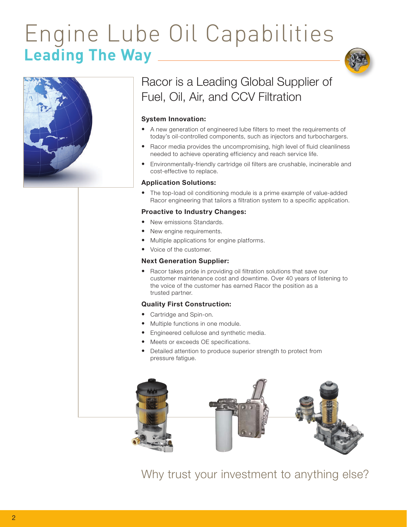# Engine Lube Oil Capabilities **Leading The Way**



### Racor is a Leading Global Supplier of Fuel, Oil, Air, and CCV Filtration

### System Innovation:

- A new generation of engineered lube filters to meet the requirements of today's oil-controlled components, such as injectors and turbochargers.
- Racor media provides the uncompromising, high level of fluid cleanliness needed to achieve operating efficiency and reach service life.
- Environmentally-friendly cartridge oil filters are crushable, incinerable and cost-effective to replace.

#### Application Solutions:

• The top-load oil conditioning module is a prime example of value-added Racor engineering that tailors a filtration system to a specific application.

#### Proactive to Industry Changes:

- New emissions Standards.
- New engine requirements.
- Multiple applications for engine platforms.
- Voice of the customer.

#### Next Generation Supplier:

• Racor takes pride in providing oil filtration solutions that save our customer maintenance cost and downtime. Over 40 years of listening to the voice of the customer has earned Racor the position as a trusted partner.

#### Quality First Construction:

- Cartridge and Spin-on.
- Multiple functions in one module.
- Engineered cellulose and synthetic media.
- Meets or exceeds OE specifications.
- Detailed attention to produce superior strength to protect from pressure fatigue.



Why trust your investment to anything else?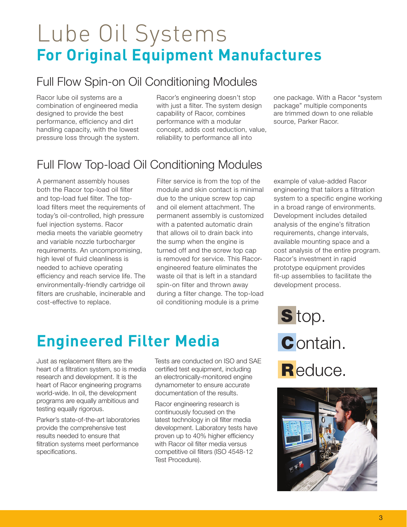# Lube Oil Systems **For Original Equipment Manufactures**

### Full Flow Spin-on Oil Conditioning Modules

Racor lube oil systems are a combination of engineered media designed to provide the best performance, efficiency and dirt handling capacity, with the lowest pressure loss through the system. Racor's engineering doesn't stop with just a filter. The system design capability of Racor, combines performance with a modular concept, adds cost reduction, value, reliability to performance all into

one package. With a Racor "system package" multiple components are trimmed down to one reliable source, Parker Racor.

## Full Flow Top-load Oil Conditioning Modules

A permanent assembly houses both the Racor top-load oil filter and top-load fuel filter. The topload filters meet the requirements of today's oil-controlled, high pressure fuel injection systems. Racor media meets the variable geometry and variable nozzle turbocharger requirements. An uncompromising, high level of fluid cleanliness is needed to achieve operating efficiency and reach service life. The environmentally-friendly cartridge oil filters are crushable, incinerable and cost-effective to replace.

Filter service is from the top of the module and skin contact is minimal due to the unique screw top cap and oil element attachment. The permanent assembly is customized with a patented automatic drain that allows oil to drain back into the sump when the engine is turned off and the screw top cap is removed for service. This Racorengineered feature eliminates the waste oil that is left in a standard spin-on filter and thrown away during a filter change. The top-load oil conditioning module is a prime

example of value-added Racor engineering that tailors a filtration system to a specific engine working in a broad range of environments. Development includes detailed analysis of the engine's filtration requirements, change intervals, available mounting space and a cost analysis of the entire program. Racor's investment in rapid prototype equipment provides fit-up assemblies to facilitate the development process.

## **Engineered Filter Media**

Just as replacement filters are the heart of a filtration system, so is media research and development. It is the heart of Racor engineering programs world-wide. In oil, the development programs are equally ambitious and testing equally rigorous.

Parker's state-of-the-art laboratories provide the comprehensive test results needed to ensure that filtration systems meet performance specifications.

Tests are conducted on ISO and SAE certified test equipment, including an electronically-monitored engine dynamometer to ensure accurate documentation of the results.

Racor engineering research is continuously focused on the latest technology in oil filter media development. Laboratory tests have proven up to 40% higher efficiency with Racor oil filter media versus competitive oil filters (ISO 4548-12 Test Procedure).

S top. **C**ontain. Reduce.